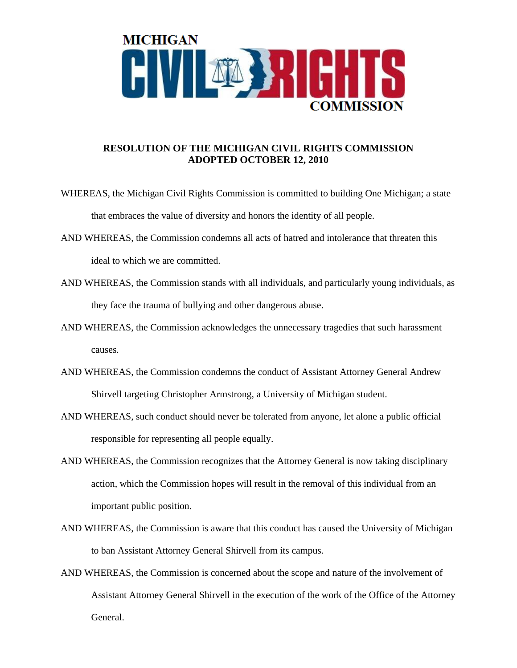

## **RESOLUTION OF THE MICHIGAN CIVIL RIGHTS COMMISSION ADOPTED OCTOBER 12, 2010**

- WHEREAS, the Michigan Civil Rights Commission is committed to building One Michigan; a state that embraces the value of diversity and honors the identity of all people.
- AND WHEREAS, the Commission condemns all acts of hatred and intolerance that threaten this ideal to which we are committed.
- AND WHEREAS, the Commission stands with all individuals, and particularly young individuals, as they face the trauma of bullying and other dangerous abuse.
- AND WHEREAS, the Commission acknowledges the unnecessary tragedies that such harassment causes.
- AND WHEREAS, the Commission condemns the conduct of Assistant Attorney General Andrew Shirvell targeting Christopher Armstrong, a University of Michigan student.
- AND WHEREAS, such conduct should never be tolerated from anyone, let alone a public official responsible for representing all people equally.
- AND WHEREAS, the Commission recognizes that the Attorney General is now taking disciplinary action, which the Commission hopes will result in the removal of this individual from an important public position.
- AND WHEREAS, the Commission is aware that this conduct has caused the University of Michigan to ban Assistant Attorney General Shirvell from its campus.
- AND WHEREAS, the Commission is concerned about the scope and nature of the involvement of Assistant Attorney General Shirvell in the execution of the work of the Office of the Attorney General.